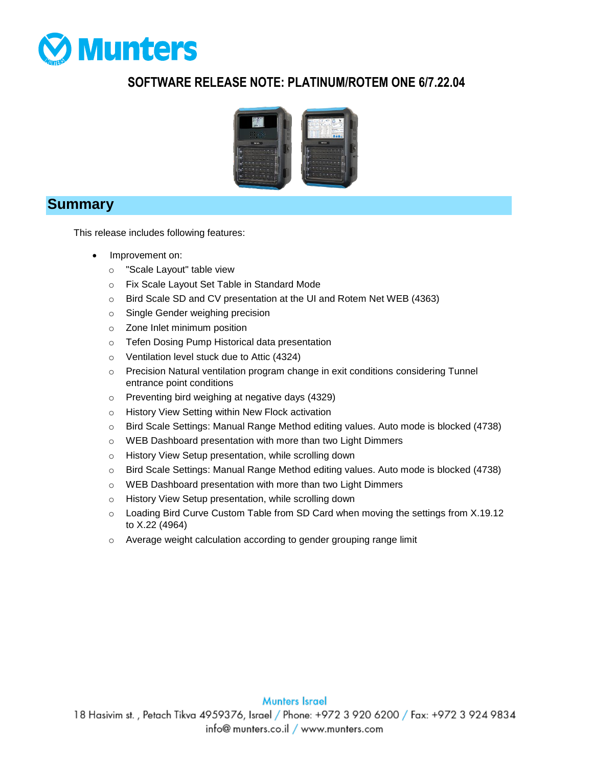

## **SOFTWARE RELEASE NOTE: PLATINUM/ROTEM ONE 6/7.22.04**



#### **Summary**

This release includes following features:

- Improvement on:
	- o "Scale Layout" table view
	- o Fix Scale Layout Set Table in Standard Mode
	- o Bird Scale SD and CV presentation at the UI and Rotem Net WEB (4363)
	- o Single Gender weighing precision
	- o Zone Inlet minimum position
	- o Tefen Dosing Pump Historical data presentation
	- o Ventilation level stuck due to Attic (4324)
	- o Precision Natural ventilation program change in exit conditions considering Tunnel entrance point conditions
	- o Preventing bird weighing at negative days (4329)
	- o History View Setting within New Flock activation
	- o Bird Scale Settings: Manual Range Method editing values. Auto mode is blocked (4738)
	- o WEB Dashboard presentation with more than two Light Dimmers
	- o History View Setup presentation, while scrolling down
	- o Bird Scale Settings: Manual Range Method editing values. Auto mode is blocked (4738)
	- o WEB Dashboard presentation with more than two Light Dimmers
	- o History View Setup presentation, while scrolling down
	- $\circ$  Loading Bird Curve Custom Table from SD Card when moving the settings from X.19.12 to X.22 (4964)
	- o Average weight calculation according to gender grouping range limit